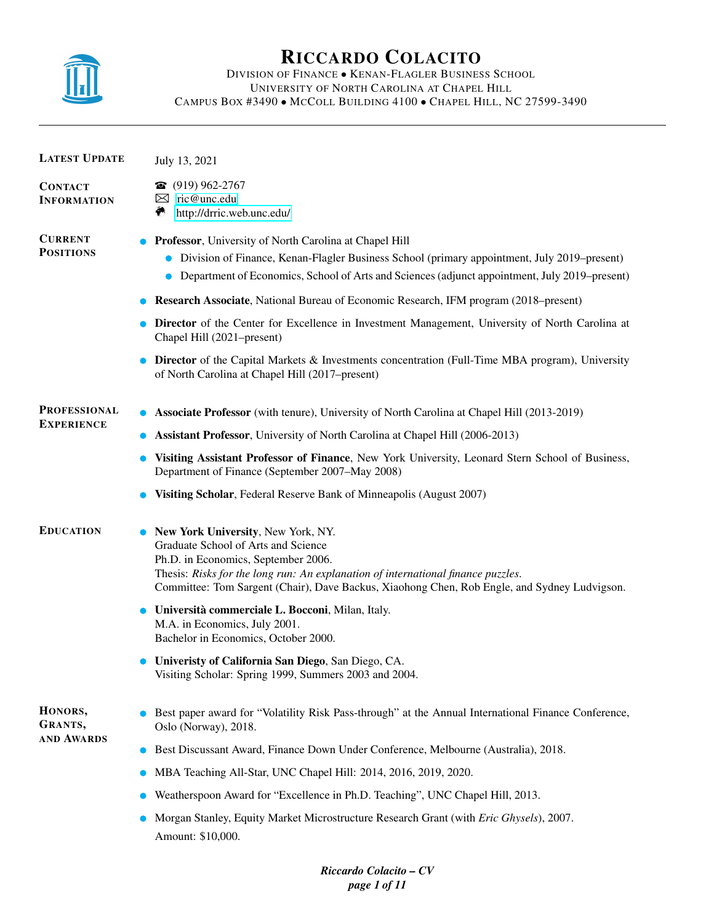

# RICCARDO COLACITO

## DIVISION OF FINANCE • KENAN-FLAGLER BUSINESS SCHOOL UNIVERSITY OF NORTH CAROLINA AT CHAPEL HILL CAMPUS BOX #3490 • MCCOLL BUILDING 4100 • CHAPEL HILL, NC 27599-3490

| <b>LATEST UPDATE</b>                 | July 13, 2021                                                                                                                                                                                                                                                                                        |  |  |  |  |
|--------------------------------------|------------------------------------------------------------------------------------------------------------------------------------------------------------------------------------------------------------------------------------------------------------------------------------------------------|--|--|--|--|
| <b>CONTACT</b><br><b>INFORMATION</b> | $\bullet$ (919) 962-2767<br>$\boxtimes$ ric@unc.edu<br>۳<br>http://drric.web.unc.edu/                                                                                                                                                                                                                |  |  |  |  |
| <b>CURRENT</b><br><b>POSITIONS</b>   | Professor, University of North Carolina at Chapel Hill<br>Division of Finance, Kenan-Flagler Business School (primary appointment, July 2019–present)<br>Department of Economics, School of Arts and Sciences (adjunct appointment, July 2019–present)                                               |  |  |  |  |
|                                      | <b>Research Associate, National Bureau of Economic Research, IFM program (2018–present)</b>                                                                                                                                                                                                          |  |  |  |  |
|                                      | <b>Director</b> of the Center for Excellence in Investment Management, University of North Carolina at<br>Chapel Hill (2021–present)                                                                                                                                                                 |  |  |  |  |
|                                      | <b>Director</b> of the Capital Markets & Investments concentration (Full-Time MBA program), University<br>of North Carolina at Chapel Hill (2017–present)                                                                                                                                            |  |  |  |  |
| <b>PROFESSIONAL</b>                  | <b>Associate Professor</b> (with tenure), University of North Carolina at Chapel Hill (2013-2019)                                                                                                                                                                                                    |  |  |  |  |
| <b>EXPERIENCE</b>                    | <b>Assistant Professor</b> , University of North Carolina at Chapel Hill (2006-2013)                                                                                                                                                                                                                 |  |  |  |  |
|                                      | Visiting Assistant Professor of Finance, New York University, Leonard Stern School of Business,<br>Department of Finance (September 2007–May 2008)                                                                                                                                                   |  |  |  |  |
|                                      | Visiting Scholar, Federal Reserve Bank of Minneapolis (August 2007)                                                                                                                                                                                                                                  |  |  |  |  |
| <b>EDUCATION</b>                     | New York University, New York, NY.<br>Graduate School of Arts and Science<br>Ph.D. in Economics, September 2006.<br>Thesis: Risks for the long run: An explanation of international finance puzzles.<br>Committee: Tom Sargent (Chair), Dave Backus, Xiaohong Chen, Rob Engle, and Sydney Ludvigson. |  |  |  |  |
|                                      | Università commerciale L. Bocconi, Milan, Italy.<br>M.A. in Economics, July 2001.<br>Bachelor in Economics, October 2000.                                                                                                                                                                            |  |  |  |  |
|                                      | Univeristy of California San Diego, San Diego, CA.<br>Visiting Scholar: Spring 1999, Summers 2003 and 2004.                                                                                                                                                                                          |  |  |  |  |
| HONORS,<br>GRANTS,                   | Best paper award for "Volatility Risk Pass-through" at the Annual International Finance Conference,<br>Oslo (Norway), 2018.                                                                                                                                                                          |  |  |  |  |
| <b>AND AWARDS</b>                    | Best Discussant Award, Finance Down Under Conference, Melbourne (Australia), 2018.                                                                                                                                                                                                                   |  |  |  |  |
|                                      | MBA Teaching All-Star, UNC Chapel Hill: 2014, 2016, 2019, 2020.<br>$\bullet$                                                                                                                                                                                                                         |  |  |  |  |
|                                      | Weatherspoon Award for "Excellence in Ph.D. Teaching", UNC Chapel Hill, 2013.                                                                                                                                                                                                                        |  |  |  |  |
|                                      | Morgan Stanley, Equity Market Microstructure Research Grant (with Eric Ghysels), 2007.<br>Amount: \$10,000.                                                                                                                                                                                          |  |  |  |  |

*Riccardo Colacito – CV page 1 of 11*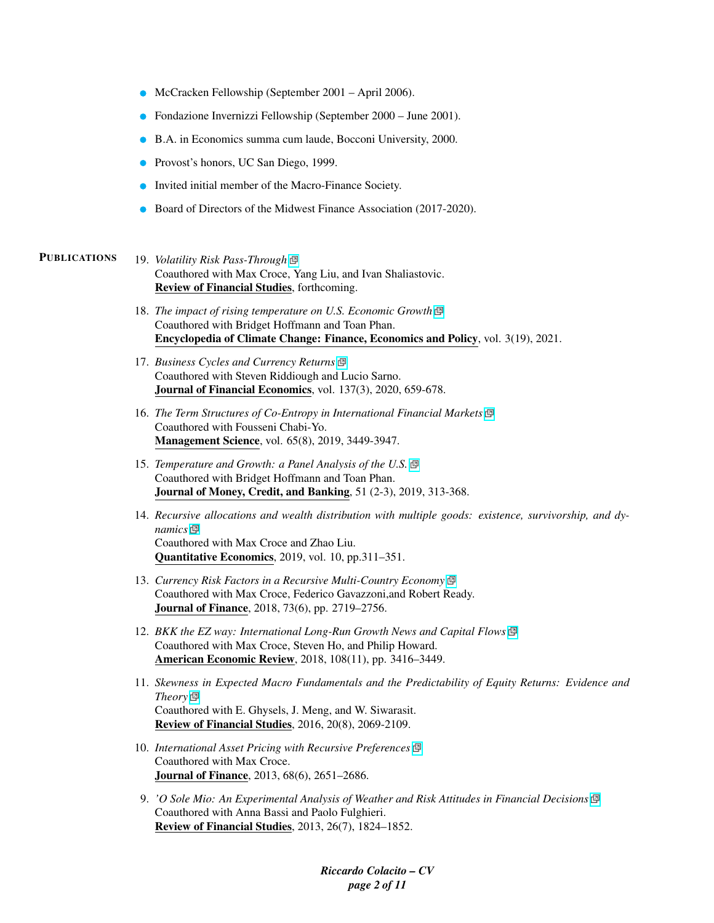- McCracken Fellowship (September 2001 April 2006).
- Fondazione Invernizzi Fellowship (September 2000 June 2001).
- B.A. in Economics summa cum laude, Bocconi University, 2000.
- **Provost's honors, UC San Diego, 1999.**
- Invited initial member of the Macro-Finance Society.
- Board of Directors of the Midwest Finance Association (2017-2020).

### PUBLICATIONS 19. *Volatility Risk Pass-Through*

Coauthored with Max Croce, Yang Liu, and Ivan Shaliastovic. Review of Financial Studies, forthcoming.

- 18. *The impact of rising temperature on U.S. Economic Growth* Coauthored with Bridget Hoffmann and Toan Phan. Encyclopedia of Climate Change: Finance, Economics and Policy, vol. 3(19), 2021.
- 17. *Business Cycles and Currency Returns* Coauthored with Steven Riddiough and Lucio Sarno. Journal of Financial Economics, vol. 137(3), 2020, 659-678.
- 16. *The Term Structures of Co-Entropy in International Financial Markets* Coauthored with Fousseni Chabi-Yo. Management Science, vol. 65(8), 2019, 3449-3947.
- 15. *Temperature and Growth: a Panel Analysis of the U.S.* Coauthored with Bridget Hoffmann and Toan Phan. Journal of Money, Credit, and Banking, 51 (2-3), 2019, 313-368.
- 14. *Recursive allocations and wealth distribution with multiple goods: existence, survivorship, and dynamics* Coauthored with Max Croce and Zhao Liu. Quantitative Economics, 2019, vol. 10, pp.311–351.
- 13. *Currency Risk Factors in a Recursive Multi-Country Economy* Coauthored with Max Croce, Federico Gavazzoni,and Robert Ready. Journal of Finance, 2018, 73(6), pp. 2719–2756.
- 12. *BKK the EZ way: International Long-Run Growth News and Capital Flows* Coauthored with Max Croce, Steven Ho, and Philip Howard. American Economic Review, 2018, 108(11), pp. 3416–3449.
- 11. *Skewness in Expected Macro Fundamentals and the Predictability of Equity Returns: Evidence and Theory* Coauthored with E. Ghysels, J. Meng, and W. Siwarasit. Review of Financial Studies, 2016, 20(8), 2069-2109.
- 10. *International Asset Pricing with Recursive Preferences* Coauthored with Max Croce. Journal of Finance, 2013, 68(6), 2651–2686.
- 9. *'O Sole Mio: An Experimental Analysis of Weather and Risk Attitudes in Financial Decisions* Coauthored with Anna Bassi and Paolo Fulghieri. Review of Financial Studies, 2013, 26(7), 1824–1852.

*Riccardo Colacito – CV page 2 of 11*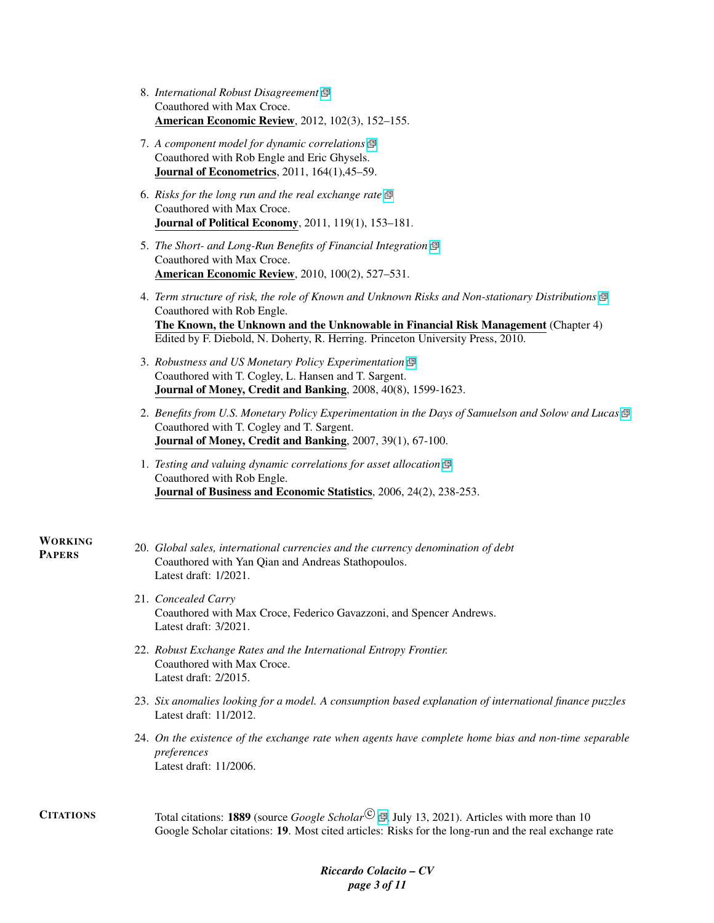| <b>American Economic Review</b> , 2012, 102(3), 152-155. |
|----------------------------------------------------------|
| Coauthored with Max Croce.                               |
| 8. International Robust Disagreement $\mathbb{P}$        |

- 7. *A component model for dynamic correlations* Coauthored with Rob Engle and Eric Ghysels. Journal of Econometrics, 2011, 164(1),45–59.
- 6. *Risks for the long run and the real exchange rate* Coauthored with Max Croce. Journal of Political Economy, 2011, 119(1), 153–181.
- 5. *The Short- and Long-Run Benefits of Financial Integration* Coauthored with Max Croce. American Economic Review, 2010, 100(2), 527–531.
- 4. *Term structure of risk, the role of Known and Unknown Risks and Non-stationary Distributions* Coauthored with Rob Engle. The Known, the Unknown and the Unknowable in Financial Risk Management (Chapter 4) Edited by F. Diebold, N. Doherty, R. Herring. Princeton University Press, 2010.
- 3. *Robustness and US Monetary Policy Experimentation* Coauthored with T. Cogley, L. Hansen and T. Sargent. Journal of Money, Credit and Banking, 2008, 40(8), 1599-1623.
- 2. *Benefits from U.S. Monetary Policy Experimentation in the Days of Samuelson and Solow and Lucas* Coauthored with T. Cogley and T. Sargent. Journal of Money, Credit and Banking, 2007, 39(1), 67-100.
- 1. *Testing and valuing dynamic correlations for asset allocation* Coauthored with Rob Engle. Journal of Business and Economic Statistics, 2006, 24(2), 238-253.

### WORKING PAPERS

- 20. *Global sales, international currencies and the currency denomination of debt* Coauthored with Yan Qian and Andreas Stathopoulos. Latest draft: 1/2021.
	- 21. *Concealed Carry* Coauthored with Max Croce, Federico Gavazzoni, and Spencer Andrews. Latest draft: 3/2021.
	- 22. *Robust Exchange Rates and the International Entropy Frontier.* Coauthored with Max Croce. Latest draft: 2/2015.
	- 23. *Six anomalies looking for a model. A consumption based explanation of international finance puzzles* Latest draft: 11/2012.
	- 24. *On the existence of the exchange rate when agents have complete home bias and non-time separable preferences* Latest draft: 11/2006.
- **CITATIONS** Total citations: **1889** (source *Google Scholar*<sup>C</sup>)  $\mathbb{B}$ [,](http://scholar.google.com/citations?user=UfPZX8wAAAAJ) July 13, 2021). Articles with more than 10 Google Scholar citations: 19. Most cited articles: Risks for the long-run and the real exchange rate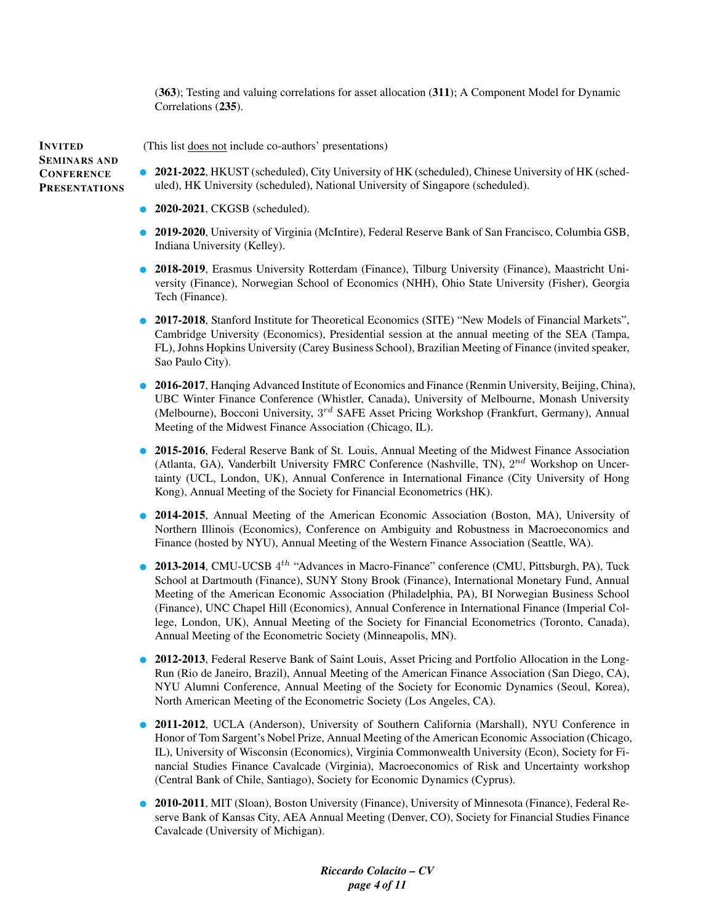(363); Testing and valuing correlations for asset allocation (311); A Component Model for Dynamic Correlations (235).

INVITED SEMINARS AND **CONFERENCE PRESENTATIONS** 

(This list does not include co-authors' presentations)

- 2021-2022, HKUST (scheduled), City University of HK (scheduled), Chinese University of HK (scheduled), HK University (scheduled), National University of Singapore (scheduled).
- 2020-2021, CKGSB (scheduled).
- 2019-2020, University of Virginia (McIntire), Federal Reserve Bank of San Francisco, Columbia GSB, Indiana University (Kelley).
- 2018-2019, Erasmus University Rotterdam (Finance), Tilburg University (Finance), Maastricht University (Finance), Norwegian School of Economics (NHH), Ohio State University (Fisher), Georgia Tech (Finance).
- 2017-2018, Stanford Institute for Theoretical Economics (SITE) "New Models of Financial Markets", Cambridge University (Economics), Presidential session at the annual meeting of the SEA (Tampa, FL), Johns Hopkins University (Carey Business School), Brazilian Meeting of Finance (invited speaker, Sao Paulo City).
- 2016-2017, Hanqing Advanced Institute of Economics and Finance (Renmin University, Beijing, China), UBC Winter Finance Conference (Whistler, Canada), University of Melbourne, Monash University (Melbourne), Bocconi University, 3<sup>rd</sup> SAFE Asset Pricing Workshop (Frankfurt, Germany), Annual Meeting of the Midwest Finance Association (Chicago, IL).
- 2015-2016, Federal Reserve Bank of St. Louis, Annual Meeting of the Midwest Finance Association (Atlanta, GA), Vanderbilt University FMRC Conference (Nashville, TN),  $2^{nd}$  Workshop on Uncertainty (UCL, London, UK), Annual Conference in International Finance (City University of Hong Kong), Annual Meeting of the Society for Financial Econometrics (HK).
- 2014-2015, Annual Meeting of the American Economic Association (Boston, MA), University of Northern Illinois (Economics), Conference on Ambiguity and Robustness in Macroeconomics and Finance (hosted by NYU), Annual Meeting of the Western Finance Association (Seattle, WA).
- **2013-2014**, CMU-UCSB  $4^{th}$  "Advances in Macro-Finance" conference (CMU, Pittsburgh, PA), Tuck School at Dartmouth (Finance), SUNY Stony Brook (Finance), International Monetary Fund, Annual Meeting of the American Economic Association (Philadelphia, PA), BI Norwegian Business School (Finance), UNC Chapel Hill (Economics), Annual Conference in International Finance (Imperial College, London, UK), Annual Meeting of the Society for Financial Econometrics (Toronto, Canada), Annual Meeting of the Econometric Society (Minneapolis, MN).
- 2012-2013, Federal Reserve Bank of Saint Louis, Asset Pricing and Portfolio Allocation in the Long-Run (Rio de Janeiro, Brazil), Annual Meeting of the American Finance Association (San Diego, CA), NYU Alumni Conference, Annual Meeting of the Society for Economic Dynamics (Seoul, Korea), North American Meeting of the Econometric Society (Los Angeles, CA).
- 2011-2012, UCLA (Anderson), University of Southern California (Marshall), NYU Conference in Honor of Tom Sargent's Nobel Prize, Annual Meeting of the American Economic Association (Chicago, IL), University of Wisconsin (Economics), Virginia Commonwealth University (Econ), Society for Financial Studies Finance Cavalcade (Virginia), Macroeconomics of Risk and Uncertainty workshop (Central Bank of Chile, Santiago), Society for Economic Dynamics (Cyprus).
- 2010-2011, MIT (Sloan), Boston University (Finance), University of Minnesota (Finance), Federal Reserve Bank of Kansas City, AEA Annual Meeting (Denver, CO), Society for Financial Studies Finance Cavalcade (University of Michigan).

*Riccardo Colacito – CV page 4 of 11*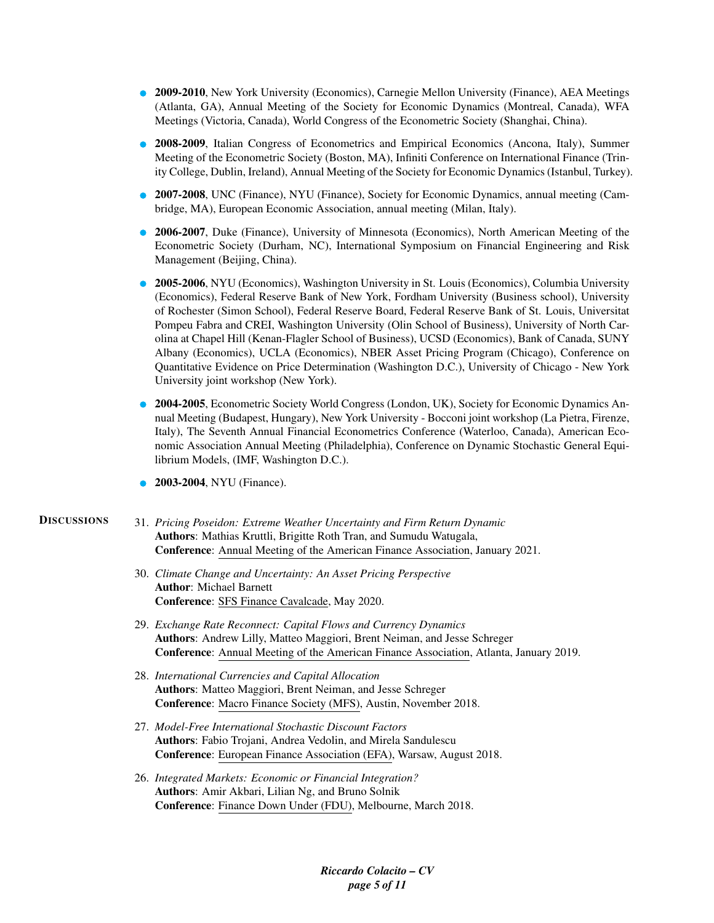- 2009-2010, New York University (Economics), Carnegie Mellon University (Finance), AEA Meetings (Atlanta, GA), Annual Meeting of the Society for Economic Dynamics (Montreal, Canada), WFA Meetings (Victoria, Canada), World Congress of the Econometric Society (Shanghai, China).
- 2008-2009, Italian Congress of Econometrics and Empirical Economics (Ancona, Italy), Summer Meeting of the Econometric Society (Boston, MA), Infiniti Conference on International Finance (Trinity College, Dublin, Ireland), Annual Meeting of the Society for Economic Dynamics (Istanbul, Turkey).
- 2007-2008, UNC (Finance), NYU (Finance), Society for Economic Dynamics, annual meeting (Cambridge, MA), European Economic Association, annual meeting (Milan, Italy).
- 2006-2007, Duke (Finance), University of Minnesota (Economics), North American Meeting of the Econometric Society (Durham, NC), International Symposium on Financial Engineering and Risk Management (Beijing, China).
- 2005-2006, NYU (Economics), Washington University in St. Louis (Economics), Columbia University (Economics), Federal Reserve Bank of New York, Fordham University (Business school), University of Rochester (Simon School), Federal Reserve Board, Federal Reserve Bank of St. Louis, Universitat Pompeu Fabra and CREI, Washington University (Olin School of Business), University of North Carolina at Chapel Hill (Kenan-Flagler School of Business), UCSD (Economics), Bank of Canada, SUNY Albany (Economics), UCLA (Economics), NBER Asset Pricing Program (Chicago), Conference on Quantitative Evidence on Price Determination (Washington D.C.), University of Chicago - New York University joint workshop (New York).
- 2004-2005, Econometric Society World Congress (London, UK), Society for Economic Dynamics Annual Meeting (Budapest, Hungary), New York University - Bocconi joint workshop (La Pietra, Firenze, Italy), The Seventh Annual Financial Econometrics Conference (Waterloo, Canada), American Economic Association Annual Meeting (Philadelphia), Conference on Dynamic Stochastic General Equilibrium Models, (IMF, Washington D.C.).
- 2003-2004, NYU (Finance).

DISCUSSIONS 31. *Pricing Poseidon: Extreme Weather Uncertainty and Firm Return Dynamic* Authors: Mathias Kruttli, Brigitte Roth Tran, and Sumudu Watugala, Conference: Annual Meeting of the American Finance Association, January 2021.

- 30. *Climate Change and Uncertainty: An Asset Pricing Perspective* Author: Michael Barnett Conference: SFS Finance Cavalcade, May 2020.
- 29. *Exchange Rate Reconnect: Capital Flows and Currency Dynamics* Authors: Andrew Lilly, Matteo Maggiori, Brent Neiman, and Jesse Schreger Conference: Annual Meeting of the American Finance Association, Atlanta, January 2019.
- 28. *International Currencies and Capital Allocation* Authors: Matteo Maggiori, Brent Neiman, and Jesse Schreger Conference: Macro Finance Society (MFS), Austin, November 2018.
- 27. *Model-Free International Stochastic Discount Factors* Authors: Fabio Trojani, Andrea Vedolin, and Mirela Sandulescu Conference: European Finance Association (EFA), Warsaw, August 2018.
- 26. *Integrated Markets: Economic or Financial Integration?* Authors: Amir Akbari, Lilian Ng, and Bruno Solnik Conference: Finance Down Under (FDU), Melbourne, March 2018.

*Riccardo Colacito – CV page 5 of 11*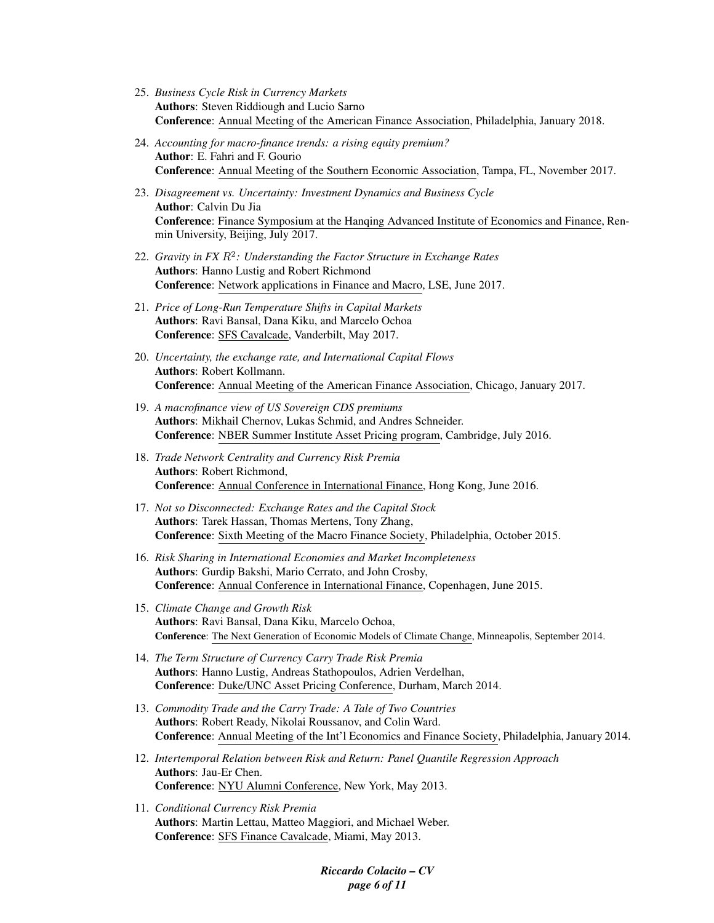- 25. *Business Cycle Risk in Currency Markets* Authors: Steven Riddiough and Lucio Sarno Conference: Annual Meeting of the American Finance Association, Philadelphia, January 2018.
- 24. *Accounting for macro-finance trends: a rising equity premium?* Author: E. Fahri and F. Gourio Conference: Annual Meeting of the Southern Economic Association, Tampa, FL, November 2017.
- 23. *Disagreement vs. Uncertainty: Investment Dynamics and Business Cycle* Author: Calvin Du Jia Conference: Finance Symposium at the Hanqing Advanced Institute of Economics and Finance, Renmin University, Beijing, July 2017.
- 22. *Gravity in FX* R<sup>2</sup> *: Understanding the Factor Structure in Exchange Rates* Authors: Hanno Lustig and Robert Richmond Conference: Network applications in Finance and Macro, LSE, June 2017.
- 21. *Price of Long-Run Temperature Shifts in Capital Markets* Authors: Ravi Bansal, Dana Kiku, and Marcelo Ochoa Conference: SFS Cavalcade, Vanderbilt, May 2017.
- 20. *Uncertainty, the exchange rate, and International Capital Flows* Authors: Robert Kollmann. Conference: Annual Meeting of the American Finance Association, Chicago, January 2017.
- 19. *A macrofinance view of US Sovereign CDS premiums* Authors: Mikhail Chernov, Lukas Schmid, and Andres Schneider. Conference: NBER Summer Institute Asset Pricing program, Cambridge, July 2016.
- 18. *Trade Network Centrality and Currency Risk Premia* Authors: Robert Richmond, Conference: Annual Conference in International Finance, Hong Kong, June 2016.
- 17. *Not so Disconnected: Exchange Rates and the Capital Stock* Authors: Tarek Hassan, Thomas Mertens, Tony Zhang, Conference: Sixth Meeting of the Macro Finance Society, Philadelphia, October 2015.
- 16. *Risk Sharing in International Economies and Market Incompleteness* Authors: Gurdip Bakshi, Mario Cerrato, and John Crosby, Conference: Annual Conference in International Finance, Copenhagen, June 2015.
- 15. *Climate Change and Growth Risk* Authors: Ravi Bansal, Dana Kiku, Marcelo Ochoa, Conference: The Next Generation of Economic Models of Climate Change, Minneapolis, September 2014.
- 14. *The Term Structure of Currency Carry Trade Risk Premia* Authors: Hanno Lustig, Andreas Stathopoulos, Adrien Verdelhan, Conference: Duke/UNC Asset Pricing Conference, Durham, March 2014.
- 13. *Commodity Trade and the Carry Trade: A Tale of Two Countries* Authors: Robert Ready, Nikolai Roussanov, and Colin Ward. Conference: Annual Meeting of the Int'l Economics and Finance Society, Philadelphia, January 2014.
- 12. *Intertemporal Relation between Risk and Return: Panel Quantile Regression Approach* Authors: Jau-Er Chen. Conference: NYU Alumni Conference, New York, May 2013.
- 11. *Conditional Currency Risk Premia* Authors: Martin Lettau, Matteo Maggiori, and Michael Weber. Conference: SFS Finance Cavalcade, Miami, May 2013.

*Riccardo Colacito – CV page 6 of 11*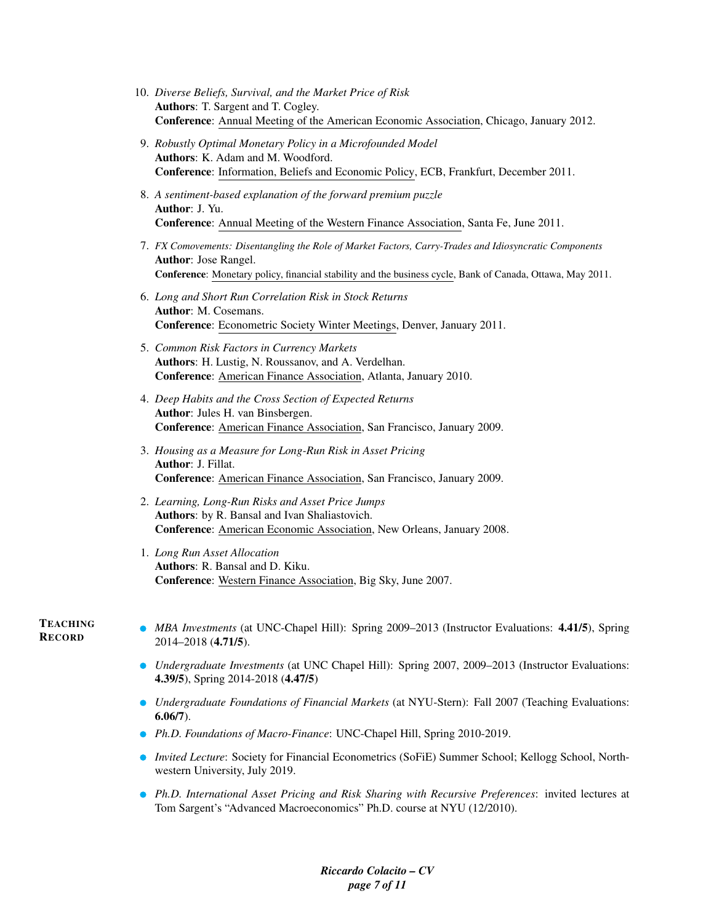- 10. *Diverse Beliefs, Survival, and the Market Price of Risk* Authors: T. Sargent and T. Cogley. Conference: Annual Meeting of the American Economic Association, Chicago, January 2012.
- 9. *Robustly Optimal Monetary Policy in a Microfounded Model* Authors: K. Adam and M. Woodford. Conference: Information, Beliefs and Economic Policy, ECB, Frankfurt, December 2011.
- 8. *A sentiment-based explanation of the forward premium puzzle* Author: J. Yu. Conference: Annual Meeting of the Western Finance Association, Santa Fe, June 2011.
- 7. *FX Comovements: Disentangling the Role of Market Factors, Carry-Trades and Idiosyncratic Components* Author: Jose Rangel. Conference: Monetary policy, financial stability and the business cycle, Bank of Canada, Ottawa, May 2011.
- 6. *Long and Short Run Correlation Risk in Stock Returns* Author: M. Cosemans. Conference: Econometric Society Winter Meetings, Denver, January 2011.
- 5. *Common Risk Factors in Currency Markets* Authors: H. Lustig, N. Roussanov, and A. Verdelhan. Conference: American Finance Association, Atlanta, January 2010.
- 4. *Deep Habits and the Cross Section of Expected Returns* Author: Jules H. van Binsbergen. Conference: American Finance Association, San Francisco, January 2009.
- 3. *Housing as a Measure for Long-Run Risk in Asset Pricing* Author: J. Fillat. Conference: American Finance Association, San Francisco, January 2009.
- 2. *Learning, Long-Run Risks and Asset Price Jumps* Authors: by R. Bansal and Ivan Shaliastovich. Conference: American Economic Association, New Orleans, January 2008.
- 1. *Long Run Asset Allocation* Authors: R. Bansal and D. Kiku. Conference: Western Finance Association, Big Sky, June 2007.

### **TEACHING RECORD**

- *MBA Investments* (at UNC-Chapel Hill): Spring 2009–2013 (Instructor Evaluations: 4.41/5), Spring 2014–2018 (4.71/5).
	- *Undergraduate Investments* (at UNC Chapel Hill): Spring 2007, 2009–2013 (Instructor Evaluations: 4.39/5), Spring 2014-2018 (4.47/5)
	- *Undergraduate Foundations of Financial Markets* (at NYU-Stern): Fall 2007 (Teaching Evaluations: 6.06/7).
	- *Ph.D. Foundations of Macro-Finance*: UNC-Chapel Hill, Spring 2010-2019.
	- *Invited Lecture:* Society for Financial Econometrics (SoFiE) Summer School; Kellogg School, Northwestern University, July 2019.
	- *Ph.D. International Asset Pricing and Risk Sharing with Recursive Preferences*: invited lectures at Tom Sargent's "Advanced Macroeconomics" Ph.D. course at NYU (12/2010).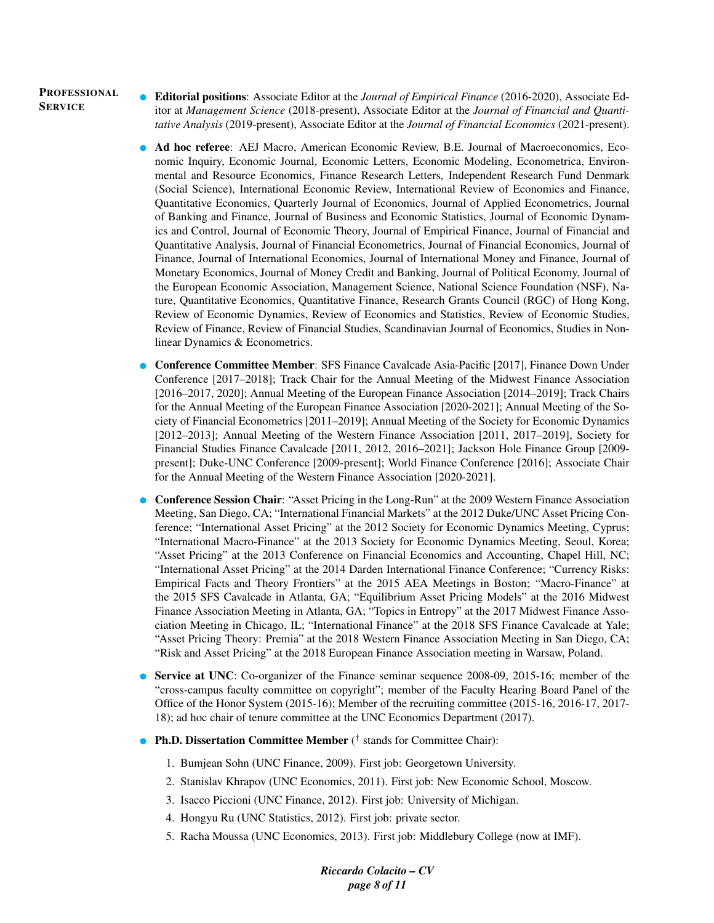### PROFESSIONAL **SERVICE**

- Editorial positions: Associate Editor at the *Journal of Empirical Finance* (2016-2020), Associate Editor at *Management Science* (2018-present), Associate Editor at the *Journal of Financial and Quantitative Analysis* (2019-present), Associate Editor at the *Journal of Financial Economics* (2021-present).
- Ad hoc referee: AEJ Macro, American Economic Review, B.E. Journal of Macroeconomics, Economic Inquiry, Economic Journal, Economic Letters, Economic Modeling, Econometrica, Environmental and Resource Economics, Finance Research Letters, Independent Research Fund Denmark (Social Science), International Economic Review, International Review of Economics and Finance, Quantitative Economics, Quarterly Journal of Economics, Journal of Applied Econometrics, Journal of Banking and Finance, Journal of Business and Economic Statistics, Journal of Economic Dynamics and Control, Journal of Economic Theory, Journal of Empirical Finance, Journal of Financial and Quantitative Analysis, Journal of Financial Econometrics, Journal of Financial Economics, Journal of Finance, Journal of International Economics, Journal of International Money and Finance, Journal of Monetary Economics, Journal of Money Credit and Banking, Journal of Political Economy, Journal of the European Economic Association, Management Science, National Science Foundation (NSF), Nature, Quantitative Economics, Quantitative Finance, Research Grants Council (RGC) of Hong Kong, Review of Economic Dynamics, Review of Economics and Statistics, Review of Economic Studies, Review of Finance, Review of Financial Studies, Scandinavian Journal of Economics, Studies in Nonlinear Dynamics & Econometrics.
- Conference Committee Member: SFS Finance Cavalcade Asia-Pacific [2017], Finance Down Under Conference [2017–2018]; Track Chair for the Annual Meeting of the Midwest Finance Association [2016–2017, 2020]; Annual Meeting of the European Finance Association [2014–2019]; Track Chairs for the Annual Meeting of the European Finance Association [2020-2021]; Annual Meeting of the Society of Financial Econometrics [2011–2019]; Annual Meeting of the Society for Economic Dynamics [2012–2013]; Annual Meeting of the Western Finance Association [2011, 2017–2019], Society for Financial Studies Finance Cavalcade [2011, 2012, 2016–2021]; Jackson Hole Finance Group [2009 present]; Duke-UNC Conference [2009-present]; World Finance Conference [2016]; Associate Chair for the Annual Meeting of the Western Finance Association [2020-2021].
- **Conference Session Chair:** "Asset Pricing in the Long-Run" at the 2009 Western Finance Association Meeting, San Diego, CA; "International Financial Markets" at the 2012 Duke/UNC Asset Pricing Conference; "International Asset Pricing" at the 2012 Society for Economic Dynamics Meeting, Cyprus; "International Macro-Finance" at the 2013 Society for Economic Dynamics Meeting, Seoul, Korea; "Asset Pricing" at the 2013 Conference on Financial Economics and Accounting, Chapel Hill, NC; "International Asset Pricing" at the 2014 Darden International Finance Conference; "Currency Risks: Empirical Facts and Theory Frontiers" at the 2015 AEA Meetings in Boston; "Macro-Finance" at the 2015 SFS Cavalcade in Atlanta, GA; "Equilibrium Asset Pricing Models" at the 2016 Midwest Finance Association Meeting in Atlanta, GA; "Topics in Entropy" at the 2017 Midwest Finance Association Meeting in Chicago, IL; "International Finance" at the 2018 SFS Finance Cavalcade at Yale; "Asset Pricing Theory: Premia" at the 2018 Western Finance Association Meeting in San Diego, CA; "Risk and Asset Pricing" at the 2018 European Finance Association meeting in Warsaw, Poland.
- Service at UNC: Co-organizer of the Finance seminar sequence 2008-09, 2015-16; member of the "cross-campus faculty committee on copyright"; member of the Faculty Hearing Board Panel of the Office of the Honor System (2015-16); Member of the recruiting committee (2015-16, 2016-17, 2017- 18); ad hoc chair of tenure committee at the UNC Economics Department (2017).
- Ph.D. Dissertation Committee Member (<sup>†</sup> stands for Committee Chair):
	- 1. Bumjean Sohn (UNC Finance, 2009). First job: Georgetown University.
	- 2. Stanislav Khrapov (UNC Economics, 2011). First job: New Economic School, Moscow.
	- 3. Isacco Piccioni (UNC Finance, 2012). First job: University of Michigan.
	- 4. Hongyu Ru (UNC Statistics, 2012). First job: private sector.
	- 5. Racha Moussa (UNC Economics, 2013). First job: Middlebury College (now at IMF).

*Riccardo Colacito – CV page 8 of 11*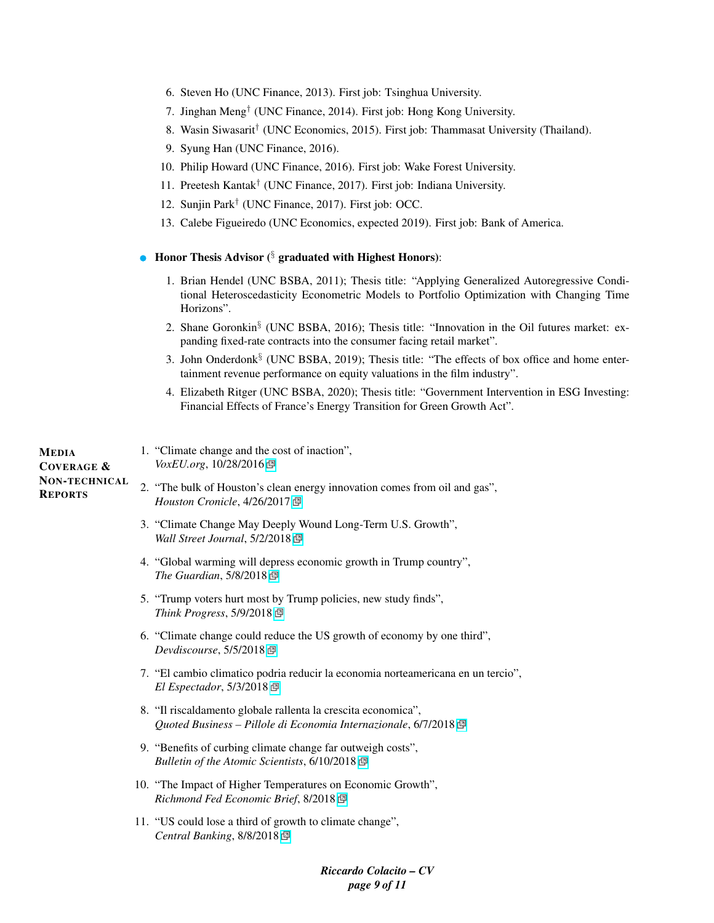|  | 6. Steven Ho (UNC Finance, 2013). First job: Tsinghua University. |  |  |
|--|-------------------------------------------------------------------|--|--|
|  |                                                                   |  |  |

- 7. Jinghan Meng† (UNC Finance, 2014). First job: Hong Kong University.
- 8. Wasin Siwasarit† (UNC Economics, 2015). First job: Thammasat University (Thailand).
- 9. Syung Han (UNC Finance, 2016).
- 10. Philip Howard (UNC Finance, 2016). First job: Wake Forest University.
- 11. Preetesh Kantak† (UNC Finance, 2017). First job: Indiana University.
- 12. Sunjin Park† (UNC Finance, 2017). First job: OCC.
- 13. Calebe Figueiredo (UNC Economics, expected 2019). First job: Bank of America.

# • Honor Thesis Advisor  $(\S$  graduated with Highest Honors):

- 1. Brian Hendel (UNC BSBA, 2011); Thesis title: "Applying Generalized Autoregressive Conditional Heteroscedasticity Econometric Models to Portfolio Optimization with Changing Time Horizons".
- 2. Shane Goronkin<sup>§</sup> (UNC BSBA, 2016); Thesis title: "Innovation in the Oil futures market: expanding fixed-rate contracts into the consumer facing retail market".
- 3. John Onderdonk§ (UNC BSBA, 2019); Thesis title: "The effects of box office and home entertainment revenue performance on equity valuations in the film industry".
- 4. Elizabeth Ritger (UNC BSBA, 2020); Thesis title: "Government Intervention in ESG Investing: Financial Effects of France's Energy Transition for Green Growth Act".

| MEDIA<br><b>COVERAGE &amp;</b>         | 1. "Climate change and the cost of inaction",<br>VoxEU.org, 10/28/2016 @                                                          |
|----------------------------------------|-----------------------------------------------------------------------------------------------------------------------------------|
| <b>NON-TECHNICAL</b><br><b>REPORTS</b> | 2. "The bulk of Houston's clean energy innovation comes from oil and gas",<br>Houston Cronicle, 4/26/2017 回                       |
|                                        | 3. "Climate Change May Deeply Wound Long-Term U.S. Growth",<br>Wall Street Journal, 5/2/2018                                      |
|                                        | 4. "Global warming will depress economic growth in Trump country",<br>The Guardian, 5/8/2018 回                                    |
|                                        | 5. "Trump voters hurt most by Trump policies, new study finds",<br>Think Progress, 5/9/2018 回                                     |
|                                        | 6. "Climate change could reduce the US growth of economy by one third",<br>Devdiscourse, 5/5/2018 回                               |
|                                        | 7. "El cambio climatico podria reducir la economia norteamericana en un tercio",<br>$El Esperador, 5/3/2018$ 回                    |
|                                        | 8. "Il riscaldamento globale rallenta la crescita economica",<br>Quoted Business – Pillole di Economia Internazionale, 6/7/2018 P |
|                                        | 9. "Benefits of curbing climate change far outweigh costs",<br>Bulletin of the Atomic Scientists, 6/10/2018 回                     |
|                                        | 10. "The Impact of Higher Temperatures on Economic Growth",<br>Richmond Fed Economic Brief, 8/2018 囤                              |
|                                        | 11. "US could lose a third of growth to climate change",<br>Central Banking, 8/8/2018 回                                           |
|                                        |                                                                                                                                   |

*Riccardo Colacito – CV page 9 of 11*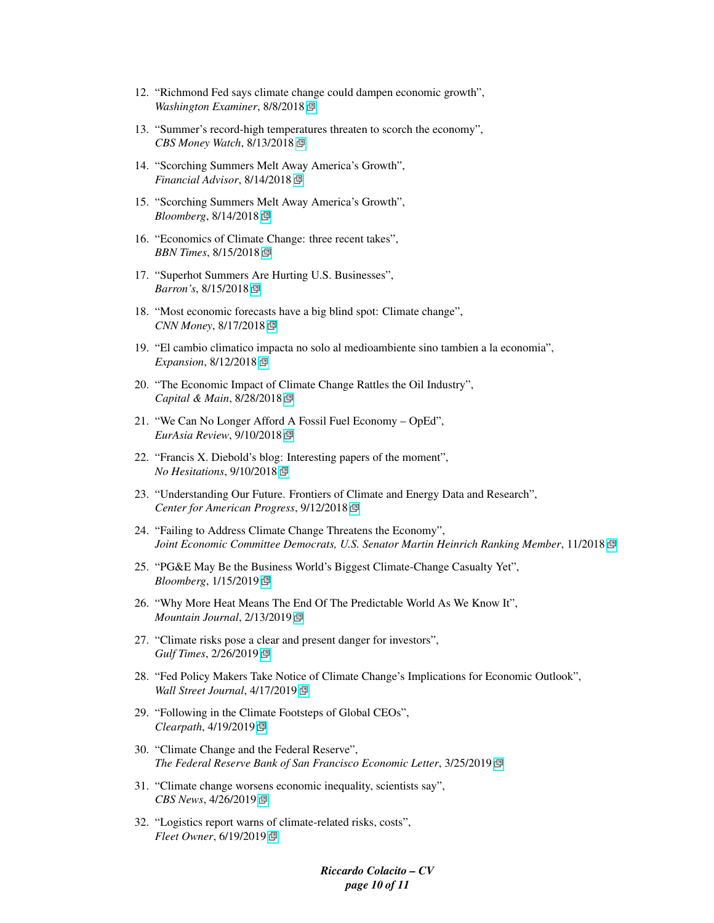- 12. "Richmond Fed says climate change could dampen economic growth", *Washington Examiner*, 8/8/2018
- 13. "Summer's record-high temperatures threaten to scorch the economy", *CBS Money Watch*, 8/13/2018
- 14. "Scorching Summers Melt Away America's Growth", *Financial Advisor*, 8/14/2018
- 15. "Scorching Summers Melt Away America's Growth", *Bloomberg*, 8/14/2018
- 16. "Economics of Climate Change: three recent takes", *BBN Times*, 8/15/2018
- 17. "Superhot Summers Are Hurting U.S. Businesses", *Barron's*, 8/15/2018
- 18. "Most economic forecasts have a big blind spot: Climate change", *CNN Money*, 8/17/2018
- 19. "El cambio climatico impacta no solo al medioambiente sino tambien a la economia", *Expansion*, 8/12/2018
- 20. "The Economic Impact of Climate Change Rattles the Oil Industry", *Capital & Main*, 8/28/2018
- 21. "We Can No Longer Afford A Fossil Fuel Economy OpEd", *EurAsia Review*, 9/10/2018
- 22. "Francis X. Diebold's blog: Interesting papers of the moment", *No Hesitations*, 9/10/2018
- 23. "Understanding Our Future. Frontiers of Climate and Energy Data and Research", *Center for American Progress*, 9/12/2018
- 24. "Failing to Address Climate Change Threatens the Economy", *Joint Economic Committee Democrats, U.S. Senator Martin Heinrich Ranking Member*, 11/2018
- 25. "PG&E May Be the Business World's Biggest Climate-Change Casualty Yet", *Bloomberg*, 1/15/2019
- 26. "Why More Heat Means The End Of The Predictable World As We Know It", *Mountain Journal*, 2/13/2019
- 27. "Climate risks pose a clear and present danger for investors", *Gulf Times*, 2/26/2019
- 28. "Fed Policy Makers Take Notice of Climate Change's Implications for Economic Outlook", *Wall Street Journal*, 4/17/2019
- 29. "Following in the Climate Footsteps of Global CEOs", *Clearpath*, 4/19/2019
- 30. "Climate Change and the Federal Reserve", *The Federal Reserve Bank of San Francisco Economic Letter*, 3/25/2019
- 31. "Climate change worsens economic inequality, scientists say", *CBS News*, 4/26/2019
- 32. "Logistics report warns of climate-related risks, costs", *Fleet Owner*, 6/19/2019

*Riccardo Colacito – CV page 10 of 11*